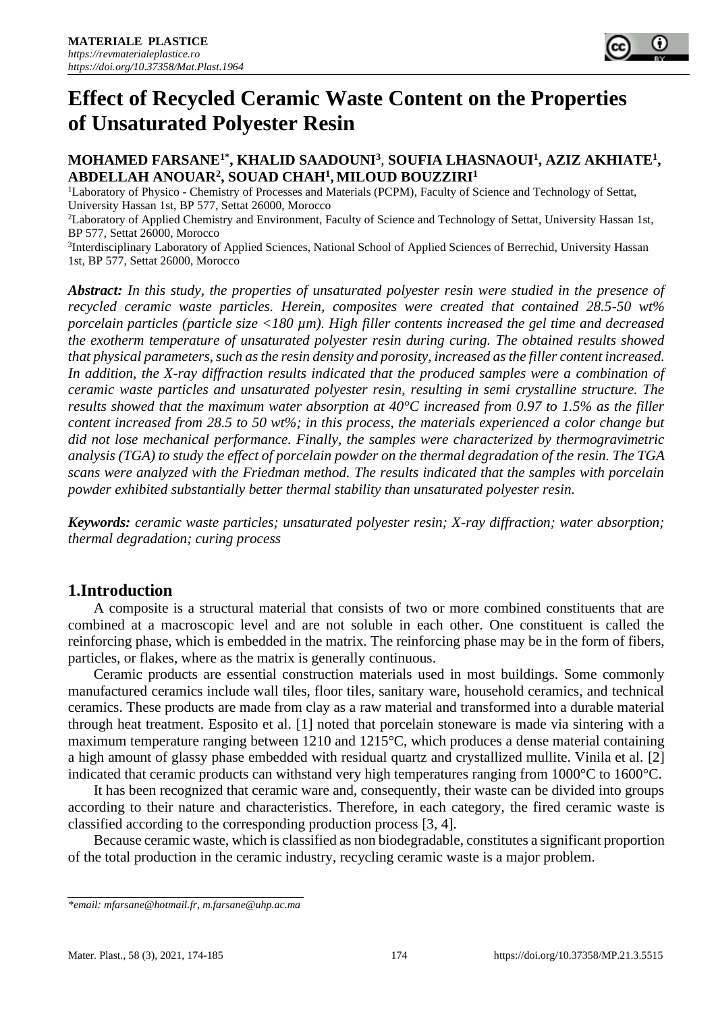

# **MOHAMED FARSANE1\*, KHALID SAADOUNI<sup>3</sup>** *,* **SOUFIA LHASNAOUI<sup>1</sup> , AZIZ AKHIATE<sup>1</sup> , ABDELLAH ANOUAR<sup>2</sup> , SOUAD CHAH<sup>1</sup> , MILOUD BOUZZIRI<sup>1</sup>**

<sup>1</sup>Laboratory of Physico - Chemistry of Processes and Materials (PCPM), Faculty of Science and Technology of Settat, University Hassan 1st, BP 577, Settat 26000, Morocco

<sup>2</sup>Laboratory of Applied Chemistry and Environment, Faculty of Science and Technology of Settat, University Hassan 1st, BP 577, Settat 26000, Morocco

<sup>3</sup>Interdisciplinary Laboratory of Applied Sciences, National School of Applied Sciences of Berrechid, University Hassan 1st, BP 577, Settat 26000, Morocco

*Abstract: In this study, the properties of unsaturated polyester resin were studied in the presence of recycled ceramic waste particles. Herein, composites were created that contained 28.5-50 wt% porcelain particles (particle size <180 µm). High filler contents increased the gel time and decreased the exotherm temperature of unsaturated polyester resin during curing. The obtained results showed that physical parameters, such as the resin density and porosity, increased as the filler content increased. In addition, the X-ray diffraction results indicated that the produced samples were a combination of ceramic waste particles and unsaturated polyester resin, resulting in semi crystalline structure. The results showed that the maximum water absorption at 40°C increased from 0.97 to 1.5% as the filler content increased from 28.5 to 50 wt%; in this process, the materials experienced a color change but did not lose mechanical performance. Finally, the samples were characterized by thermogravimetric analysis (TGA) to study the effect of porcelain powder on the thermal degradation of the resin. The TGA scans were analyzed with the Friedman method. The results indicated that the samples with porcelain powder exhibited substantially better thermal stability than unsaturated polyester resin.*

*Keywords: ceramic waste particles; unsaturated polyester resin; X-ray diffraction; water absorption; thermal degradation; curing process*

# **1.Introduction**

A composite is a structural material that consists of two or more combined constituents that are combined at a macroscopic level and are not soluble in each other. One constituent is called the reinforcing phase, which is embedded in the matrix. The reinforcing phase may be in the form of fibers, particles, or flakes, where as the matrix is generally continuous.

Ceramic products are essential construction materials used in most buildings. Some commonly manufactured ceramics include wall tiles, floor tiles, sanitary ware, household ceramics, and technical ceramics. These products are made from clay as a raw material and transformed into a durable material through heat treatment. Esposito et al. [1] noted that porcelain stoneware is made via sintering with a maximum temperature ranging between 1210 and 1215°C, which produces a dense material containing a high amount of glassy phase embedded with residual quartz and crystallized mullite. Vinila et al. [2] indicated that ceramic products can withstand very high temperatures ranging from 1000°C to 1600°C.

It has been recognized that ceramic ware and, consequently, their waste can be divided into groups according to their nature and characteristics. Therefore, in each category, the fired ceramic waste is classified according to the corresponding production process [3, 4].

Because ceramic waste, which is classified as non biodegradable, constitutes a significant proportion of the total production in the ceramic industry, recycling ceramic waste is a major problem.

*<sup>\*</sup>email[: mfarsane@hotmail.fr,](mailto:mfarsane@hotmail.fr) m.farsane@uhp.ac.ma*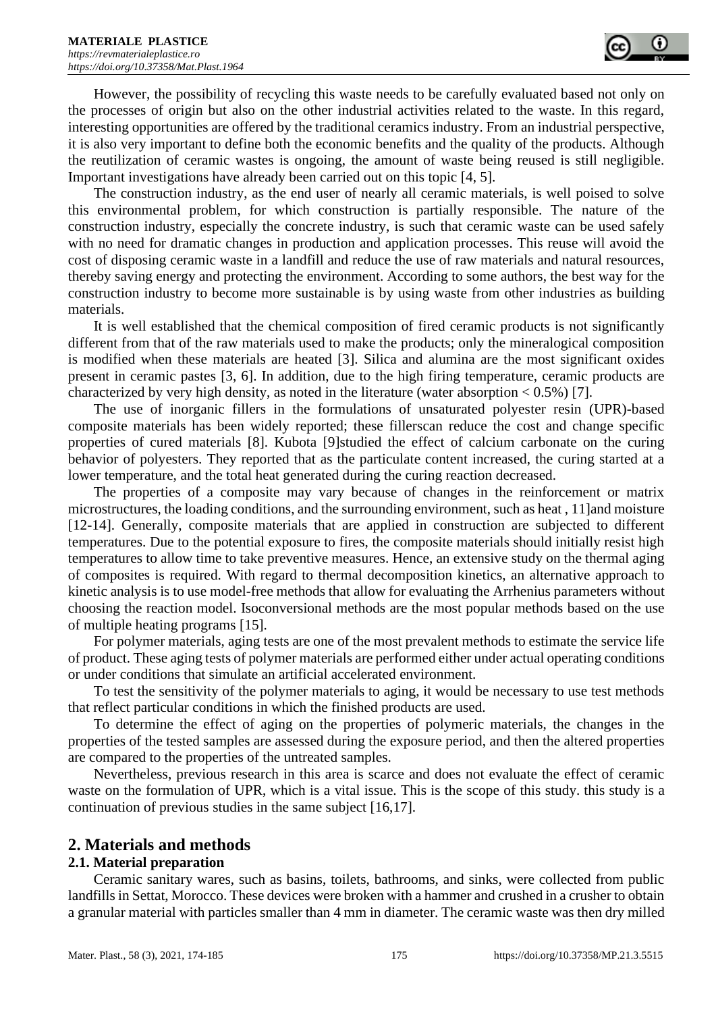However, the possibility of recycling this waste needs to be carefully evaluated based not only on the processes of origin but also on the other industrial activities related to the waste. In this regard, interesting opportunities are offered by the traditional ceramics industry. From an industrial perspective, it is also very important to define both the economic benefits and the quality of the products. Although the reutilization of ceramic wastes is ongoing, the amount of waste being reused is still negligible. Important investigations have already been carried out on this topic [4, 5].

The construction industry, as the end user of nearly all ceramic materials, is well poised to solve this environmental problem, for which construction is partially responsible. The nature of the construction industry, especially the concrete industry, is such that ceramic waste can be used safely with no need for dramatic changes in production and application processes. This reuse will avoid the cost of disposing ceramic waste in a landfill and reduce the use of raw materials and natural resources, thereby saving energy and protecting the environment. According to some authors, the best way for the construction industry to become more sustainable is by using waste from other industries as building materials.

It is well established that the chemical composition of fired ceramic products is not significantly different from that of the raw materials used to make the products; only the mineralogical composition is modified when these materials are heated [3]. Silica and alumina are the most significant oxides present in ceramic pastes [3, 6]. In addition, due to the high firing temperature, ceramic products are characterized by very high density, as noted in the literature (water absorption  $< 0.5\%$ ) [7].

The use of inorganic fillers in the formulations of unsaturated polyester resin (UPR)-based composite materials has been widely reported; these fillerscan reduce the cost and change specific properties of cured materials [8]. Kubota [9]studied the effect of calcium carbonate on the curing behavior of polyesters. They reported that as the particulate content increased, the curing started at a lower temperature, and the total heat generated during the curing reaction decreased.

The properties of a composite may vary because of changes in the reinforcement or matrix microstructures, the loading conditions, and the surrounding environment, such as heat , 11]and moisture [12-14]. Generally, composite materials that are applied in construction are subjected to different temperatures. Due to the potential exposure to fires, the composite materials should initially resist high temperatures to allow time to take preventive measures. Hence, an extensive study on the thermal aging of composites is required. With regard to thermal decomposition kinetics, an alternative approach to kinetic analysis is to use model-free methods that allow for evaluating the Arrhenius parameters without choosing the reaction model. Isoconversional methods are the most popular methods based on the use of multiple heating programs [15].

For polymer materials, aging tests are one of the most prevalent methods to estimate the service life of product. These aging tests of polymer materials are performed either under actual operating conditions or under conditions that simulate an artificial accelerated environment.

To test the sensitivity of the polymer materials to aging, it would be necessary to use test methods that reflect particular conditions in which the finished products are used.

To determine the effect of aging on the properties of polymeric materials, the changes in the properties of the tested samples are assessed during the exposure period, and then the altered properties are compared to the properties of the untreated samples.

Nevertheless, previous research in this area is scarce and does not evaluate the effect of ceramic waste on the formulation of UPR, which is a vital issue. This is the scope of this study. this study is a continuation of previous studies in the same subject [16,17].

# **2. Materials and methods**

## **2.1. Material preparation**

Ceramic sanitary wares, such as basins, toilets, bathrooms, and sinks, were collected from public landfills in Settat, Morocco. These devices were broken with a hammer and crushed in a crusher to obtain a granular material with particles smaller than 4 mm in diameter. The ceramic waste was then dry milled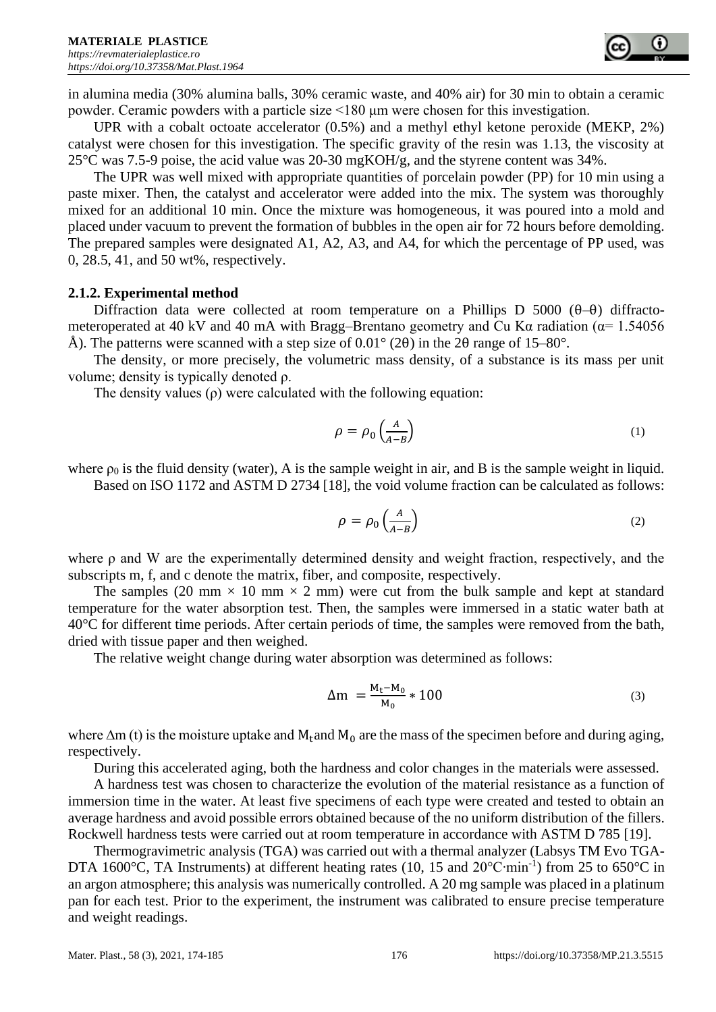in alumina media (30% alumina balls, 30% ceramic waste, and 40% air) for 30 min to obtain a ceramic powder. Ceramic powders with a particle size <180 μm were chosen for this investigation.

UPR with a cobalt octoate accelerator (0.5%) and a methyl ethyl ketone peroxide (MEKP, 2%) catalyst were chosen for this investigation. The specific gravity of the resin was 1.13, the viscosity at 25°C was 7.5-9 poise, the acid value was 20-30 mgKOH/g, and the styrene content was 34%.

The UPR was well mixed with appropriate quantities of porcelain powder (PP) for 10 min using a paste mixer. Then, the catalyst and accelerator were added into the mix. The system was thoroughly mixed for an additional 10 min. Once the mixture was homogeneous, it was poured into a mold and placed under vacuum to prevent the formation of bubbles in the open air for 72 hours before demolding. The prepared samples were designated A1, A2, A3, and A4, for which the percentage of PP used, was 0, 28.5, 41, and 50 wt%, respectively.

# **2.1.2. Experimental method**

Diffraction data were collected at room temperature on a Phillips D 5000 ( $\theta$ – $\theta$ ) diffractometeroperated at 40 kV and 40 mA with Bragg–Brentano geometry and Cu K $\alpha$  radiation ( $\alpha$ = 1.54056 Å). The patterns were scanned with a step size of  $0.01^{\circ}$  (2 $\theta$ ) in the 2 $\theta$  range of 15–80°.

The density, or more precisely, the volumetric mass density, of a substance is its mass per unit volume; density is typically denoted ρ.

The density values  $(\rho)$  were calculated with the following equation:

$$
\rho = \rho_0 \left( \frac{A}{A - B} \right) \tag{1}
$$

where  $\rho_0$  is the fluid density (water), A is the sample weight in air, and B is the sample weight in liquid. Based on ISO 1172 and ASTM D 2734 [18], the void volume fraction can be calculated as follows:

$$
\rho = \rho_0 \left( \frac{A}{A - B} \right) \tag{2}
$$

where ρ and W are the experimentally determined density and weight fraction, respectively, and the subscripts m, f, and c denote the matrix, fiber, and composite, respectively.

The samples (20 mm  $\times$  10 mm  $\times$  2 mm) were cut from the bulk sample and kept at standard temperature for the water absorption test. Then, the samples were immersed in a static water bath at 40°C for different time periods. After certain periods of time, the samples were removed from the bath, dried with tissue paper and then weighed.

The relative weight change during water absorption was determined as follows:

$$
\Delta m = \frac{M_t - M_0}{M_0} * 100
$$
 (3)

where  $\Delta$ m (t) is the moisture uptake and M<sub>t</sub>and M<sub>0</sub> are the mass of the specimen before and during aging, respectively.

During this accelerated aging, both the hardness and color changes in the materials were assessed.

A hardness test was chosen to characterize the evolution of the material resistance as a function of immersion time in the water. At least five specimens of each type were created and tested to obtain an average hardness and avoid possible errors obtained because of the no uniform distribution of the fillers. Rockwell hardness tests were carried out at room temperature in accordance with ASTM D 785 [19].

Thermogravimetric analysis (TGA) was carried out with a thermal analyzer (Labsys TM Evo TGA-DTA 1600°C, TA Instruments) at different heating rates (10, 15 and 20°C∙min<sup>-1</sup>) from 25 to 650°C in an argon atmosphere; this analysis was numerically controlled. A 20 mg sample was placed in a platinum pan for each test. Prior to the experiment, the instrument was calibrated to ensure precise temperature and weight readings.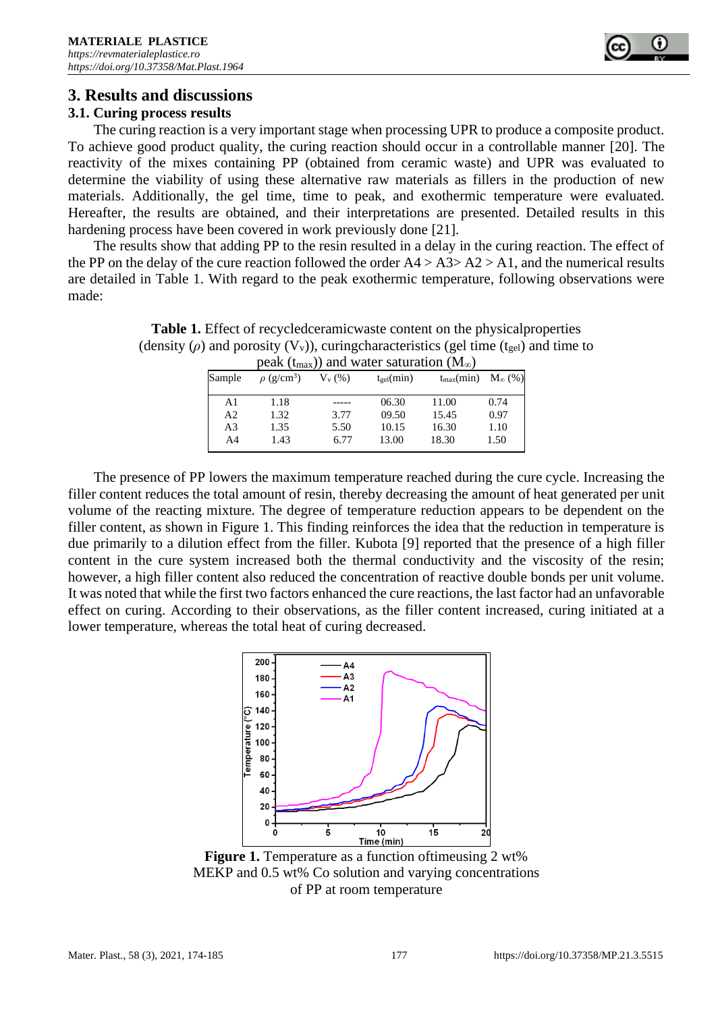

# **3. Results and discussions**

## **3.1. Curing process results**

The curing reaction is a very important stage when processing UPR to produce a composite product. To achieve good product quality, the curing reaction should occur in a controllable manner [20]. The reactivity of the mixes containing PP (obtained from ceramic waste) and UPR was evaluated to determine the viability of using these alternative raw materials as fillers in the production of new materials. Additionally, the gel time, time to peak, and exothermic temperature were evaluated. Hereafter, the results are obtained, and their interpretations are presented. Detailed results in this hardening process have been covered in work previously done [21].

The results show that adding PP to the resin resulted in a delay in the curing reaction. The effect of the PP on the delay of the cure reaction followed the order  $A4 > A3 > A2 > A1$ , and the numerical results are detailed in Table 1. With regard to the peak exothermic temperature, following observations were made:

| peak ( $t_{max}$ )) and water saturation ( $M_{\infty}$ ) |                             |            |                |                                                   |      |  |
|-----------------------------------------------------------|-----------------------------|------------|----------------|---------------------------------------------------|------|--|
| Sample                                                    | $\rho$ (g/cm <sup>3</sup> ) | $V_{v}(%)$ | $t_{gel}(min)$ | $t_{\text{max}}(\text{min}) \quad M_{\infty}(\%)$ |      |  |
| A <sub>1</sub>                                            | 1.18                        |            | 06.30          | 11.00                                             | 0.74 |  |
| A <sub>2</sub>                                            | 1.32                        | 3.77       | 09.50          | 15.45                                             | 0.97 |  |
| A <sub>3</sub>                                            | 1.35                        | 5.50       | 10.15          | 16.30                                             | 1.10 |  |
| A4                                                        | 1.43                        | 6.77       | 13.00          | 18.30                                             | 1.50 |  |

**Table 1.** Effect of recycledceramicwaste content on the physicalproperties (density  $(\rho)$  and porosity  $(V_v)$ ), curingcharacteristics (gel time (t<sub>gel</sub>) and time to

The presence of PP lowers the maximum temperature reached during the cure cycle. Increasing the filler content reduces the total amount of resin, thereby decreasing the amount of heat generated per unit volume of the reacting mixture. The degree of temperature reduction appears to be dependent on the filler content, as shown in Figure 1. This finding reinforces the idea that the reduction in temperature is due primarily to a dilution effect from the filler. Kubota [9] reported that the presence of a high filler content in the cure system increased both the thermal conductivity and the viscosity of the resin; however, a high filler content also reduced the concentration of reactive double bonds per unit volume. It was noted that while the first two factors enhanced the cure reactions, the last factor had an unfavorable effect on curing. According to their observations, as the filler content increased, curing initiated at a lower temperature, whereas the total heat of curing decreased.



Figure 1. Temperature as a function of time using 2 wt% MEKP and 0.5 wt% Co solution and varying concentrations of PP at room temperature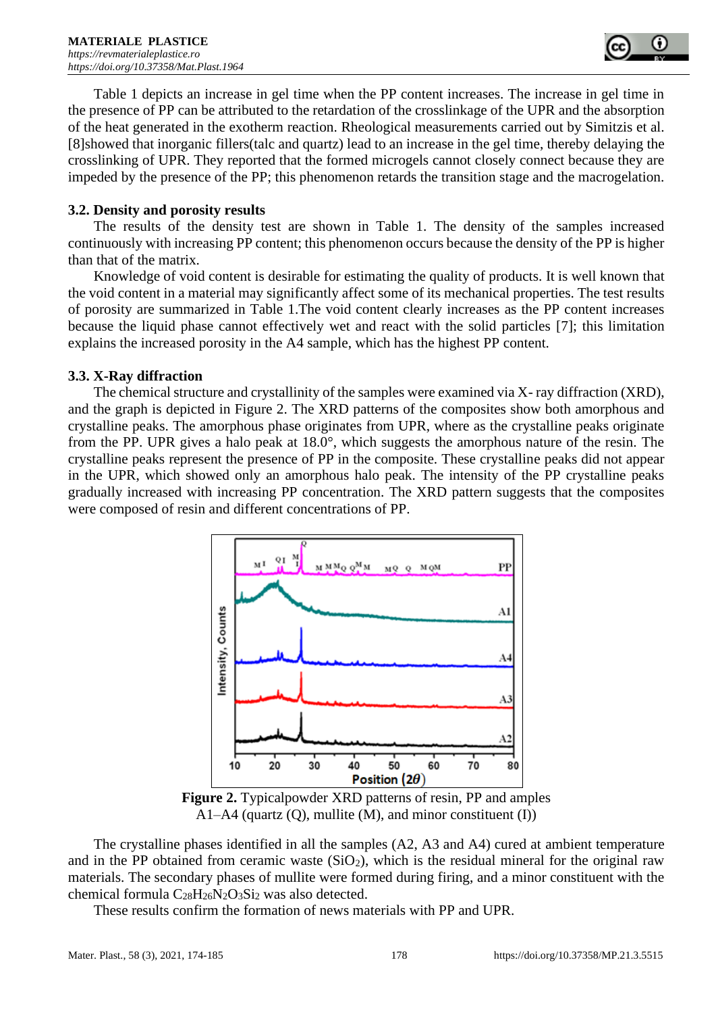

Table 1 depicts an increase in gel time when the PP content increases. The increase in gel time in the presence of PP can be attributed to the retardation of the crosslinkage of the UPR and the absorption of the heat generated in the exotherm reaction. Rheological measurements carried out by Simitzis et al. [8]showed that inorganic fillers(talc and quartz) lead to an increase in the gel time, thereby delaying the crosslinking of UPR. They reported that the formed microgels cannot closely connect because they are impeded by the presence of the PP; this phenomenon retards the transition stage and the macrogelation.

### **3.2. Density and porosity results**

The results of the density test are shown in Table 1. The density of the samples increased continuously with increasing PP content; this phenomenon occurs because the density of the PP is higher than that of the matrix.

Knowledge of void content is desirable for estimating the quality of products. It is well known that the void content in a material may significantly affect some of its mechanical properties. The test results of porosity are summarized in Table 1.The void content clearly increases as the PP content increases because the liquid phase cannot effectively wet and react with the solid particles [7]; this limitation explains the increased porosity in the A4 sample, which has the highest PP content.

#### **3.3. X-Ray diffraction**

The chemical structure and crystallinity of the samples were examined via X- ray diffraction (XRD), and the graph is depicted in Figure 2. The XRD patterns of the composites show both amorphous and crystalline peaks. The amorphous phase originates from UPR, where as the crystalline peaks originate from the PP. UPR gives a halo peak at 18.0°, which suggests the amorphous nature of the resin. The crystalline peaks represent the presence of PP in the composite. These crystalline peaks did not appear in the UPR, which showed only an amorphous halo peak. The intensity of the PP crystalline peaks gradually increased with increasing PP concentration. The XRD pattern suggests that the composites were composed of resin and different concentrations of PP.



**Figure 2.** Typicalpowder XRD patterns of resin, PP and amples A1–A4 (quartz  $(Q)$ , mullite  $(M)$ , and minor constituent  $(I)$ )

The crystalline phases identified in all the samples (A2, A3 and A4) cured at ambient temperature and in the PP obtained from ceramic waste  $(SiO<sub>2</sub>)$ , which is the residual mineral for the original raw materials. The secondary phases of mullite were formed during firing, and a minor constituent with the chemical formula  $C_{28}H_{26}N_2O_3Si_2$  was also detected.

These results confirm the formation of news materials with PP and UPR.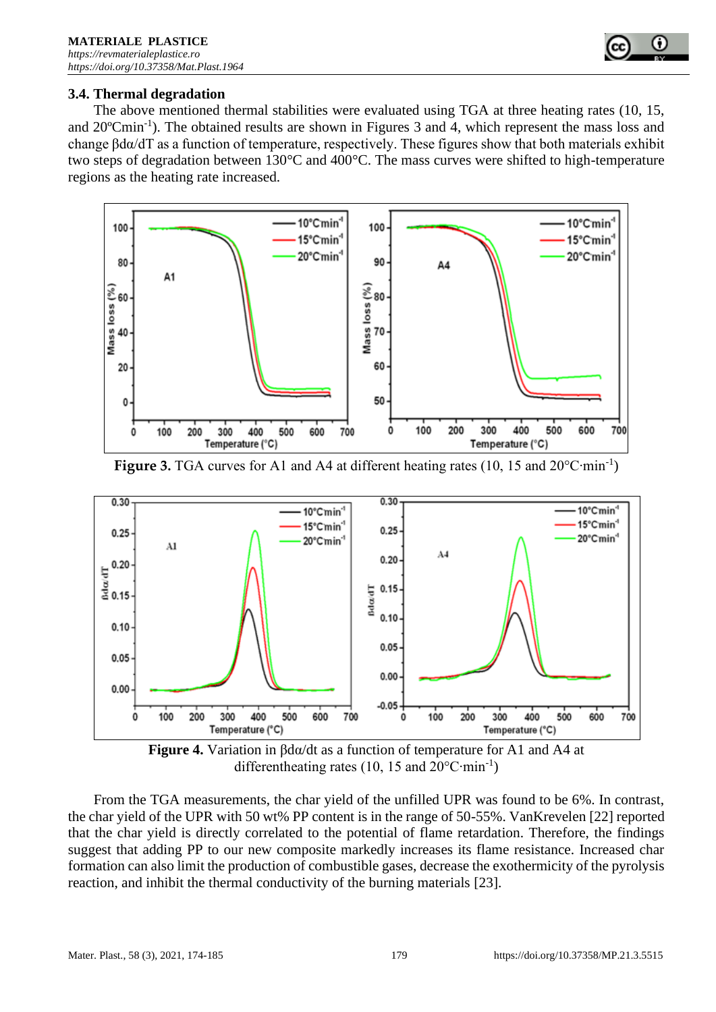## **3.4. Thermal degradation**

The above mentioned thermal stabilities were evaluated using TGA at three heating rates (10, 15, and 20°Cmin<sup>-1</sup>). The obtained results are shown in Figures 3 and 4, which represent the mass loss and change βdα/dT as a function of temperature, respectively. These figures show that both materials exhibit two steps of degradation between 130°C and 400°C. The mass curves were shifted to high-temperature regions as the heating rate increased.









From the TGA measurements, the char yield of the unfilled UPR was found to be 6%. In contrast, the char yield of the UPR with 50 wt% PP content is in the range of 50-55%. VanKrevelen [22] reported that the char yield is directly correlated to the potential of flame retardation. Therefore, the findings suggest that adding PP to our new composite markedly increases its flame resistance. Increased char formation can also limit the production of combustible gases, decrease the exothermicity of the pyrolysis reaction, and inhibit the thermal conductivity of the burning materials [23].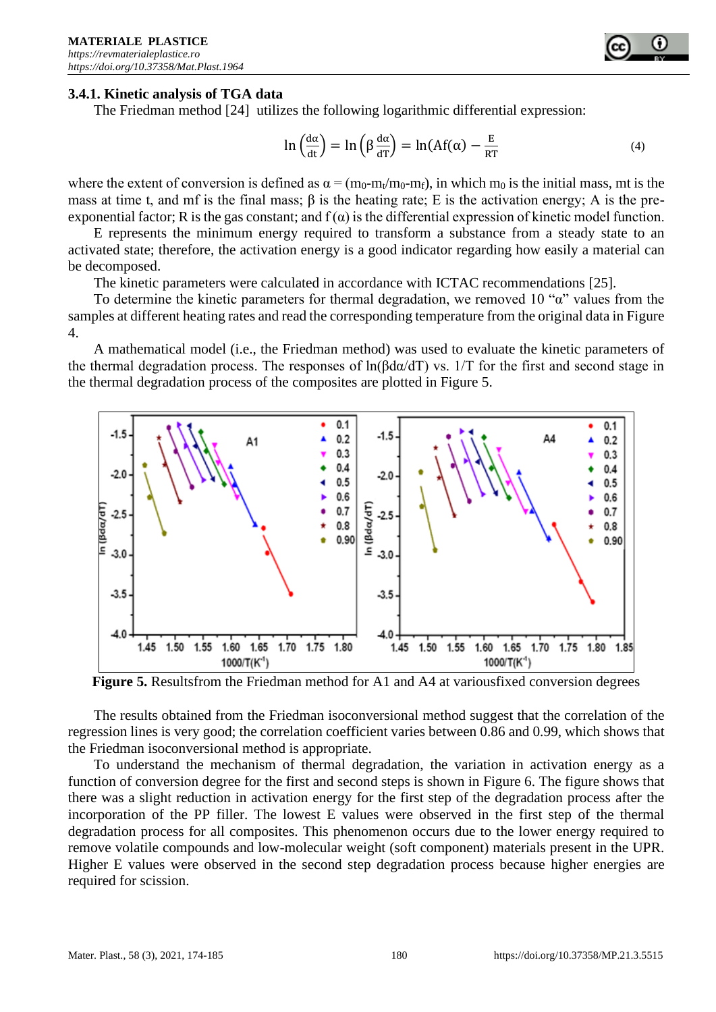#### **3.4.1. Kinetic analysis of TGA data**

The Friedman method [24] utilizes the following logarithmic differential expression:

$$
\ln\left(\frac{d\alpha}{dt}\right) = \ln\left(\beta \frac{d\alpha}{dT}\right) = \ln(Af(\alpha) - \frac{E}{RT}
$$
\n(4)

where the extent of conversion is defined as  $\alpha = (m_0 - m_t/m_0 - m_f)$ , in which m<sub>0</sub> is the initial mass, mt is the mass at time t, and mf is the final mass;  $\beta$  is the heating rate; E is the activation energy; A is the preexponential factor; R is the gas constant; and  $f(\alpha)$  is the differential expression of kinetic model function.

E represents the minimum energy required to transform a substance from a steady state to an activated state; therefore, the activation energy is a good indicator regarding how easily a material can be decomposed.

The kinetic parameters were calculated in accordance with ICTAC recommendations [25].

To determine the kinetic parameters for thermal degradation, we removed 10 " $\alpha$ " values from the samples at different heating rates and read the corresponding temperature from the original data in Figure 4.

A mathematical model (i.e., the Friedman method) was used to evaluate the kinetic parameters of the thermal degradation process. The responses of ln(βdα/dT) vs. 1/T for the first and second stage in the thermal degradation process of the composites are plotted in Figure 5.



**Figure 5.** Resultsfrom the Friedman method for A1 and A4 at variousfixed conversion degrees

The results obtained from the Friedman isoconversional method suggest that the correlation of the regression lines is very good; the correlation coefficient varies between 0.86 and 0.99, which shows that the Friedman isoconversional method is appropriate.

To understand the mechanism of thermal degradation, the variation in activation energy as a function of conversion degree for the first and second steps is shown in Figure 6. The figure shows that there was a slight reduction in activation energy for the first step of the degradation process after the incorporation of the PP filler. The lowest E values were observed in the first step of the thermal degradation process for all composites. This phenomenon occurs due to the lower energy required to remove volatile compounds and low-molecular weight (soft component) materials present in the UPR. Higher E values were observed in the second step degradation process because higher energies are required for scission.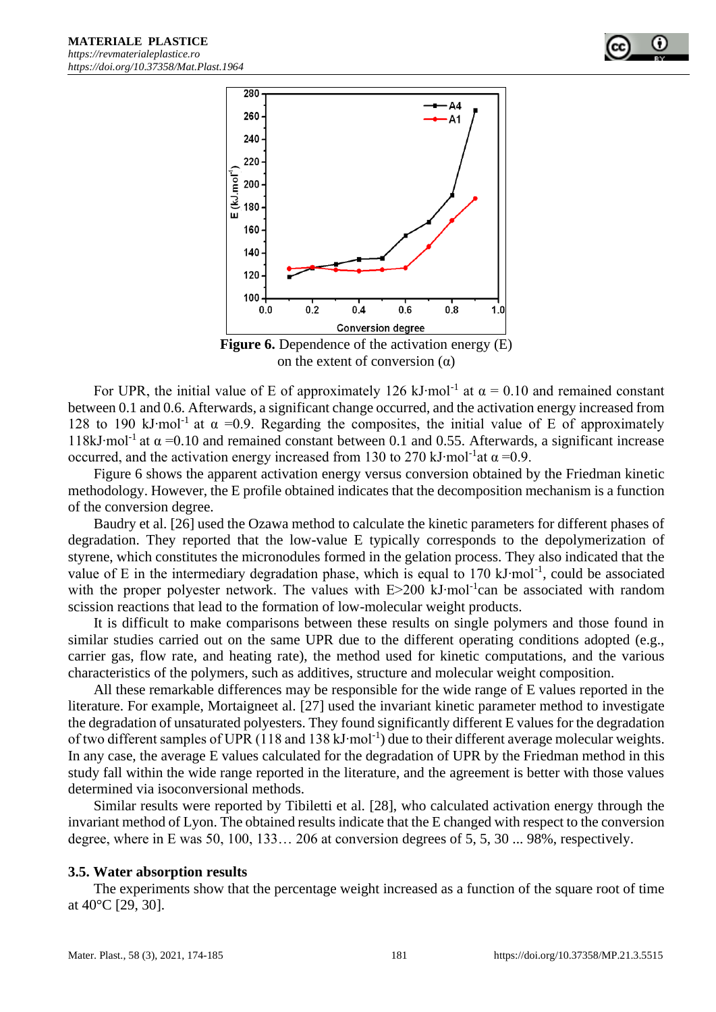



**Figure 6.** Dependence of the activation energy (E) on the extent of conversion  $(\alpha)$ 

For UPR, the initial value of E of approximately 126 kJ⋅mol<sup>-1</sup> at  $\alpha = 0.10$  and remained constant between 0.1 and 0.6. Afterwards, a significant change occurred, and the activation energy increased from 128 to 190 kJ⋅mol<sup>-1</sup> at  $\alpha$  =0.9. Regarding the composites, the initial value of E of approximately 118kJ⋅mol<sup>-1</sup> at  $\alpha$  =0.10 and remained constant between 0.1 and 0.55. Afterwards, a significant increase occurred, and the activation energy increased from 130 to 270 kJ⋅mol<sup>-1</sup>at  $\alpha$  =0.9.

Figure 6 shows the apparent activation energy versus conversion obtained by the Friedman kinetic methodology. However, the E profile obtained indicates that the decomposition mechanism is a function of the conversion degree.

Baudry et al. [26] used the Ozawa method to calculate the kinetic parameters for different phases of degradation. They reported that the low-value E typically corresponds to the depolymerization of styrene, which constitutes the micronodules formed in the gelation process. They also indicated that the value of E in the intermediary degradation phase, which is equal to 170 kJ⋅mol<sup>-1</sup>, could be associated with the proper polyester network. The values with E>200 kJ⋅mol<sup>-1</sup>can be associated with random scission reactions that lead to the formation of low-molecular weight products.

It is difficult to make comparisons between these results on single polymers and those found in similar studies carried out on the same UPR due to the different operating conditions adopted (e.g., carrier gas, flow rate, and heating rate), the method used for kinetic computations, and the various characteristics of the polymers, such as additives, structure and molecular weight composition.

All these remarkable differences may be responsible for the wide range of E values reported in the literature. For example, Mortaigneet al. [27] used the invariant kinetic parameter method to investigate the degradation of unsaturated polyesters. They found significantly different E values for the degradation of two different samples of UPR (118 and 138 kJ⋅mol<sup>-1</sup>) due to their different average molecular weights. In any case, the average E values calculated for the degradation of UPR by the Friedman method in this study fall within the wide range reported in the literature, and the agreement is better with those values determined via isoconversional methods.

Similar results were reported by Tibiletti et al. [28], who calculated activation energy through the invariant method of Lyon. The obtained results indicate that the E changed with respect to the conversion degree, where in E was 50, 100, 133… 206 at conversion degrees of 5, 5, 30 ... 98%, respectively.

#### **3.5. Water absorption results**

The experiments show that the percentage weight increased as a function of the square root of time at 40°C [29, 30].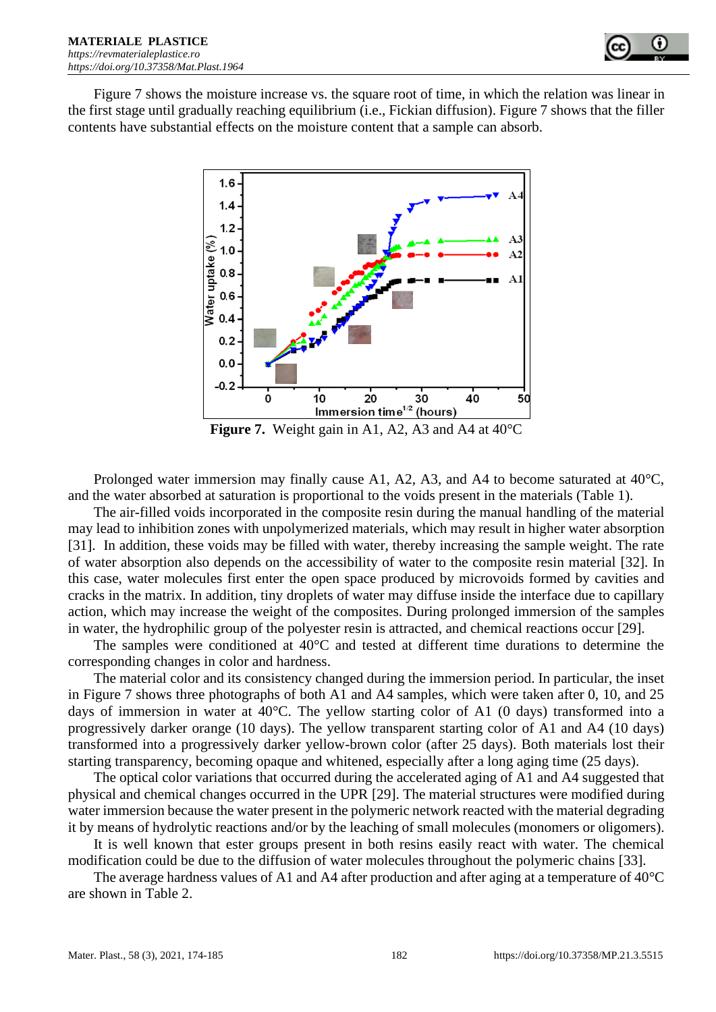

Figure 7 shows the moisture increase vs. the square root of time, in which the relation was linear in the first stage until gradually reaching equilibrium (i.e., Fickian diffusion). Figure 7 shows that the filler contents have substantial effects on the moisture content that a sample can absorb.



**Figure 7.** Weight gain in A1, A2, A3 and A4 at 40°C

Prolonged water immersion may finally cause A1, A2, A3, and A4 to become saturated at 40°C, and the water absorbed at saturation is proportional to the voids present in the materials (Table 1).

The air-filled voids incorporated in the composite resin during the manual handling of the material may lead to inhibition zones with unpolymerized materials, which may result in higher water absorption [31]. In addition, these voids may be filled with water, thereby increasing the sample weight. The rate of water absorption also depends on the accessibility of water to the composite resin material [32]. In this case, water molecules first enter the open space produced by microvoids formed by cavities and cracks in the matrix. In addition, tiny droplets of water may diffuse inside the interface due to capillary action, which may increase the weight of the composites. During prolonged immersion of the samples in water, the hydrophilic group of the polyester resin is attracted, and chemical reactions occur [29].

The samples were conditioned at 40°C and tested at different time durations to determine the corresponding changes in color and hardness.

The material color and its consistency changed during the immersion period. In particular, the inset in Figure 7 shows three photographs of both A1 and A4 samples, which were taken after 0, 10, and 25 days of immersion in water at 40°C. The yellow starting color of A1 (0 days) transformed into a progressively darker orange (10 days). The yellow transparent starting color of A1 and A4 (10 days) transformed into a progressively darker yellow-brown color (after 25 days). Both materials lost their starting transparency, becoming opaque and whitened, especially after a long aging time (25 days).

The optical color variations that occurred during the accelerated aging of A1 and A4 suggested that physical and chemical changes occurred in the UPR [29]. The material structures were modified during water immersion because the water present in the polymeric network reacted with the material degrading it by means of hydrolytic reactions and/or by the leaching of small molecules (monomers or oligomers).

It is well known that ester groups present in both resins easily react with water. The chemical modification could be due to the diffusion of water molecules throughout the polymeric chains [33].

The average hardness values of A1 and A4 after production and after aging at a temperature of 40<sup>o</sup>C are shown in Table 2.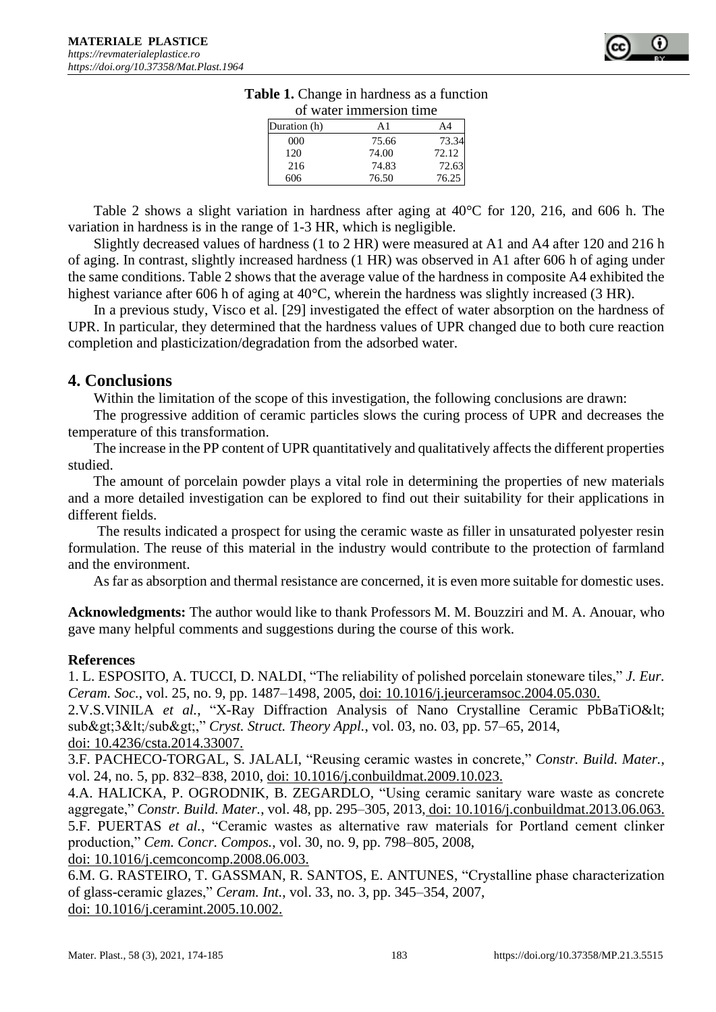

|              | of water immersion time |       |
|--------------|-------------------------|-------|
| Duration (h) | A1                      | Α4    |
| 000          | 75.66                   | 73.34 |
| 120          | 74.00                   | 72.12 |
| 216          | 74.83                   | 72.63 |
| 606          | 76.50                   | 76.25 |

## **Table 1.** Change in hardness as a function of water immersion time

Table 2 shows a slight variation in hardness after aging at 40°C for 120, 216, and 606 h. The variation in hardness is in the range of 1-3 HR, which is negligible.

Slightly decreased values of hardness (1 to 2 HR) were measured at A1 and A4 after 120 and 216 h of aging. In contrast, slightly increased hardness (1 HR) was observed in A1 after 606 h of aging under the same conditions. Table 2 shows that the average value of the hardness in composite A4 exhibited the highest variance after 606 h of aging at 40°C, wherein the hardness was slightly increased (3 HR).

In a previous study, Visco et al. [29] investigated the effect of water absorption on the hardness of UPR. In particular, they determined that the hardness values of UPR changed due to both cure reaction completion and plasticization/degradation from the adsorbed water.

# **4. Conclusions**

Within the limitation of the scope of this investigation, the following conclusions are drawn:

The progressive addition of ceramic particles slows the curing process of UPR and decreases the temperature of this transformation.

The increase in the PP content of UPR quantitatively and qualitatively affects the different properties studied.

The amount of porcelain powder plays a vital role in determining the properties of new materials and a more detailed investigation can be explored to find out their suitability for their applications in different fields.

The results indicated a prospect for using the ceramic waste as filler in unsaturated polyester resin formulation. The reuse of this material in the industry would contribute to the protection of farmland and the environment.

As far as absorption and thermal resistance are concerned, it is even more suitable for domestic uses.

**Acknowledgments:** The author would like to thank Professors M. M. Bouzziri and M. A. Anouar, who gave many helpful comments and suggestions during the course of this work.

## **References**

1. L. ESPOSITO, A. TUCCI, D. NALDI, "The reliability of polished porcelain stoneware tiles," *J. Eur. Ceram. Soc.*, vol. 25, no. 9, pp. 1487–1498, 2005, doi: 10.1016/j.jeurceramsoc.2004.05.030.

2.V.S.VINILA et al., "X-Ray Diffraction Analysis of Nano Crystalline Ceramic PbBaTiO< sub>3</sub>," *Cryst. Struct. Theory Appl.*, vol. 03, no. 03, pp. 57–65, 2014, doi: 10.4236/csta.2014.33007.

3.F. PACHECO-TORGAL, S. JALALI, "Reusing ceramic wastes in concrete," *Constr. Build. Mater.*, vol. 24, no. 5, pp. 832–838, 2010, doi: 10.1016/j.conbuildmat.2009.10.023.

4.A. HALICKA, P. OGRODNIK, B. ZEGARDLO, "Using ceramic sanitary ware waste as concrete aggregate," *Constr. Build. Mater.*, vol. 48, pp. 295–305, 2013, doi: 10.1016/j.conbuildmat.2013.06.063. 5.F. PUERTAS *et al.*, "Ceramic wastes as alternative raw materials for Portland cement clinker production," *Cem. Concr. Compos.*, vol. 30, no. 9, pp. 798–805, 2008,

doi: 10.1016/j.cemconcomp.2008.06.003.

6.M. G. RASTEIRO, T. GASSMAN, R. SANTOS, E. ANTUNES, "Crystalline phase characterization of glass-ceramic glazes," *Ceram. Int.*, vol. 33, no. 3, pp. 345–354, 2007, doi: 10.1016/j.ceramint.2005.10.002.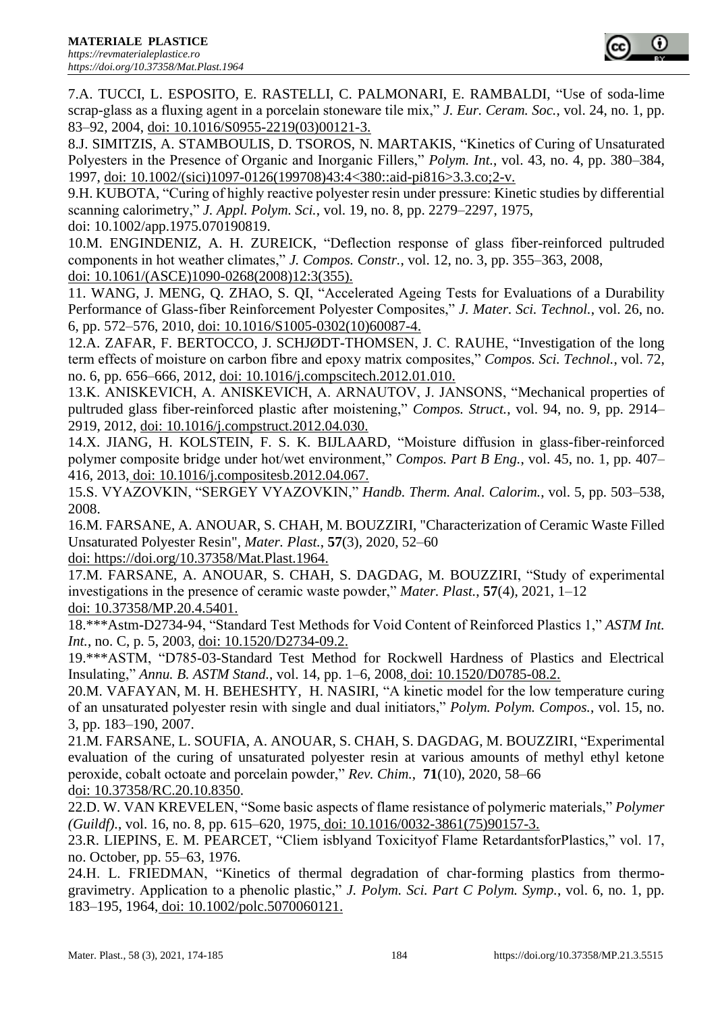

7.A. TUCCI, L. ESPOSITO, E. RASTELLI, C. PALMONARI, E. RAMBALDI, "Use of soda-lime scrap-glass as a fluxing agent in a porcelain stoneware tile mix," *J. Eur. Ceram. Soc.*, vol. 24, no. 1, pp. 83–92, 2004, doi: 10.1016/S0955-2219(03)00121-3.

8.J. SIMITZIS, A. STAMBOULIS, D. TSOROS, N. MARTAKIS, "Kinetics of Curing of Unsaturated Polyesters in the Presence of Organic and Inorganic Fillers," *Polym. Int.*, vol. 43, no. 4, pp. 380–384, 1997, doi: 10.1002/(sici)1097-0126(199708)43:4<380::aid-pi816>3.3.co;2-v.

9.H. KUBOTA, "Curing of highly reactive polyester resin under pressure: Kinetic studies by differential scanning calorimetry," *J. Appl. Polym. Sci.*, vol. 19, no. 8, pp. 2279–2297, 1975, doi: 10.1002/app.1975.070190819.

10.M. ENGINDENIZ, A. H. ZUREICK, "Deflection response of glass fiber-reinforced pultruded components in hot weather climates," *J. Compos. Constr.*, vol. 12, no. 3, pp. 355–363, 2008, doi: 10.1061/(ASCE)1090-0268(2008)12:3(355).

11. WANG, J. MENG, Q. ZHAO, S. QI, "Accelerated Ageing Tests for Evaluations of a Durability Performance of Glass-fiber Reinforcement Polyester Composites," *J. Mater. Sci. Technol.*, vol. 26, no. 6, pp. 572–576, 2010, doi: 10.1016/S1005-0302(10)60087-4.

12.A. ZAFAR, F. BERTOCCO, J. SCHJØDT-THOMSEN, J. C. RAUHE, "Investigation of the long term effects of moisture on carbon fibre and epoxy matrix composites," *Compos. Sci. Technol.*, vol. 72, no. 6, pp. 656–666, 2012, doi: 10.1016/j.compscitech.2012.01.010.

13.K. ANISKEVICH, A. ANISKEVICH, A. ARNAUTOV, J. JANSONS, "Mechanical properties of pultruded glass fiber-reinforced plastic after moistening," *Compos. Struct.*, vol. 94, no. 9, pp. 2914– 2919, 2012, doi: 10.1016/j.compstruct.2012.04.030.

14.X. JIANG, H. KOLSTEIN, F. S. K. BIJLAARD, "Moisture diffusion in glass-fiber-reinforced polymer composite bridge under hot/wet environment," *Compos. Part B Eng.*, vol. 45, no. 1, pp. 407– 416, 2013, doi: 10.1016/j.compositesb.2012.04.067.

15.S. VYAZOVKIN, "SERGEY VYAZOVKIN," *Handb. Therm. Anal. Calorim.*, vol. 5, pp. 503–538, 2008.

16.M. FARSANE, A. ANOUAR, S. CHAH, M. BOUZZIRI, "Characterization of Ceramic Waste Filled Unsaturated Polyester Resin", *Mater. Plast.*, **57**(3), 2020, 52–60 doi: https://doi.org/10.37358/Mat.Plast.1964.

17.M. FARSANE, A. ANOUAR, S. CHAH, S. DAGDAG, M. BOUZZIRI, "Study of experimental investigations in the presence of ceramic waste powder," *Mater. Plast.*, **57**(4), 2021, 1–12 doi: 10.37358/MP.20.4.5401.

18.\*\*\*Astm-D2734-94, "Standard Test Methods for Void Content of Reinforced Plastics 1," *ASTM Int. Int.*, no. C, p. 5, 2003, doi: 10.1520/D2734-09.2.

19.\*\*\*ASTM, "D785-03-Standard Test Method for Rockwell Hardness of Plastics and Electrical Insulating," *Annu. B. ASTM Stand.*, vol. 14, pp. 1–6, 2008, doi: 10.1520/D0785-08.2.

20.M. VAFAYAN, M. H. BEHESHTY, H. NASIRI, "A kinetic model for the low temperature curing of an unsaturated polyester resin with single and dual initiators," *Polym. Polym. Compos.*, vol. 15, no. 3, pp. 183–190, 2007.

21.M. FARSANE, L. SOUFIA, A. ANOUAR, S. CHAH, S. DAGDAG, M. BOUZZIRI, "Experimental evaluation of the curing of unsaturated polyester resin at various amounts of methyl ethyl ketone peroxide, cobalt octoate and porcelain powder," *Rev. Chim.*, **71**(10), 2020, 58–66 doi: 10.37358/RC.20.10.8350.

22.D. W. VAN KREVELEN, "Some basic aspects of flame resistance of polymeric materials," *Polymer (Guildf).*, vol. 16, no. 8, pp. 615–620, 1975, doi: 10.1016/0032-3861(75)90157-3.

23.R. LIEPINS, E. M. PEARCET, "Cliem isblyand Toxicityof Flame RetardantsforPlastics," vol. 17, no. October, pp. 55–63, 1976.

24.H. L. FRIEDMAN, "Kinetics of thermal degradation of char-forming plastics from thermogravimetry. Application to a phenolic plastic," *J. Polym. Sci. Part C Polym. Symp.*, vol. 6, no. 1, pp. 183–195, 1964, doi: 10.1002/polc.5070060121.